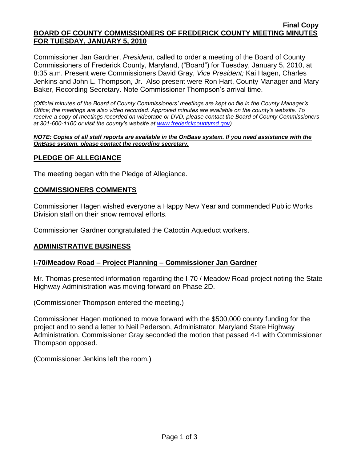#### **Final Copy BOARD OF COUNTY COMMISSIONERS OF FREDERICK COUNTY MEETING MINUTES FOR TUESDAY, JANUARY 5, 2010**

Commissioner Jan Gardner, *President*, called to order a meeting of the Board of County Commissioners of Frederick County, Maryland, ("Board") for Tuesday, January 5, 2010, at 8:35 a.m. Present were Commissioners David Gray, *Vice President;* Kai Hagen, Charles Jenkins and John L. Thompson, Jr. Also present were Ron Hart, County Manager and Mary Baker, Recording Secretary. Note Commissioner Thompson's arrival time.

*(Official minutes of the Board of County Commissioners' meetings are kept on file in the County Manager's Office; the meetings are also video recorded. Approved minutes are available on the county's website. To receive a copy of meetings recorded on videotape or DVD, please contact the Board of County Commissioners at 301-600-1100 or visit the county's website at [www.frederickcountymd.gov\)](file:\\NT1S5\BOCC\BOCC\BOCC%20Minutes\Mary)*

#### *NOTE: Copies of all staff reports are available in the OnBase system. If you need assistance with the OnBase system, please contact the recording secretary.*

# **PLEDGE OF ALLEGIANCE**

The meeting began with the Pledge of Allegiance.

### **COMMISSIONERS COMMENTS**

Commissioner Hagen wished everyone a Happy New Year and commended Public Works Division staff on their snow removal efforts.

Commissioner Gardner congratulated the Catoctin Aqueduct workers.

### **ADMINISTRATIVE BUSINESS**

### **I-70/Meadow Road – Project Planning – Commissioner Jan Gardner**

Mr. Thomas presented information regarding the I-70 / Meadow Road project noting the State Highway Administration was moving forward on Phase 2D.

(Commissioner Thompson entered the meeting.)

Commissioner Hagen motioned to move forward with the \$500,000 county funding for the project and to send a letter to Neil Pederson, Administrator, Maryland State Highway Administration. Commissioner Gray seconded the motion that passed 4-1 with Commissioner Thompson opposed.

(Commissioner Jenkins left the room.)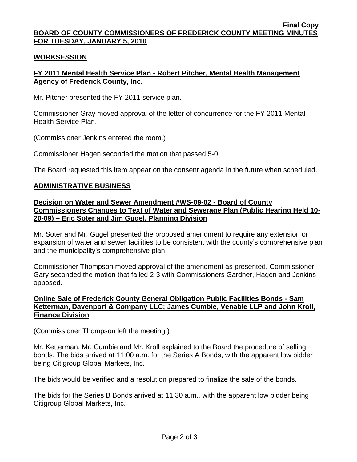#### **Final Copy BOARD OF COUNTY COMMISSIONERS OF FREDERICK COUNTY MEETING MINUTES FOR TUESDAY, JANUARY 5, 2010**

#### **WORKSESSION**

# **FY 2011 Mental Health Service Plan - Robert Pitcher, Mental Health Management Agency of Frederick County, Inc.**

Mr. Pitcher presented the FY 2011 service plan.

Commissioner Gray moved approval of the letter of concurrence for the FY 2011 Mental Health Service Plan.

(Commissioner Jenkins entered the room.)

Commissioner Hagen seconded the motion that passed 5-0.

The Board requested this item appear on the consent agenda in the future when scheduled.

### **ADMINISTRATIVE BUSINESS**

#### **Decision on Water and Sewer Amendment #WS-09-02 - Board of County Commissioners Changes to Text of Water and Sewerage Plan (Public Hearing Held 10- 20-09) – Eric Soter and Jim Gugel, Planning Division**

Mr. Soter and Mr. Gugel presented the proposed amendment to require any extension or expansion of water and sewer facilities to be consistent with the county's comprehensive plan and the municipality's comprehensive plan.

Commissioner Thompson moved approval of the amendment as presented. Commissioner Gary seconded the motion that failed 2-3 with Commissioners Gardner, Hagen and Jenkins opposed.

# **Online Sale of Frederick County General Obligation Public Facilities Bonds - Sam Ketterman, Davenport & Company LLC; James Cumbie, Venable LLP and John Kroll, Finance Division**

(Commissioner Thompson left the meeting.)

Mr. Ketterman, Mr. Cumbie and Mr. Kroll explained to the Board the procedure of selling bonds. The bids arrived at 11:00 a.m. for the Series A Bonds, with the apparent low bidder being Citigroup Global Markets, Inc.

The bids would be verified and a resolution prepared to finalize the sale of the bonds.

The bids for the Series B Bonds arrived at 11:30 a.m., with the apparent low bidder being Citigroup Global Markets, Inc.